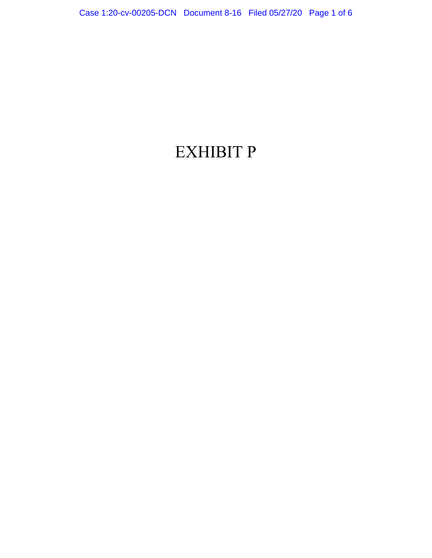## EXHIBIT P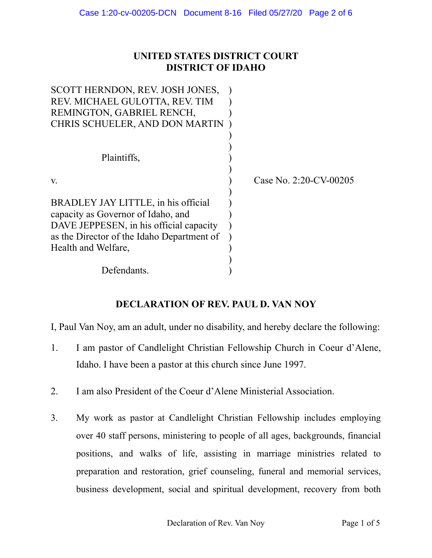## **UNITED STATES DISTRICT COURT DISTRICT OF IDAHO**

| SCOTT HERNDON, REV. JOSH JONES,            |                           |
|--------------------------------------------|---------------------------|
| REV. MICHAEL GULOTTA, REV. TIM             |                           |
| REMINGTON, GABRIEL RENCH,                  |                           |
| CHRIS SCHUELER, AND DON MARTIN             |                           |
|                                            |                           |
|                                            |                           |
| Plaintiffs,                                |                           |
|                                            |                           |
| V.                                         | Case No. $2:20$ -CV-00205 |
|                                            |                           |
| BRADLEY JAY LITTLE, in his official        |                           |
| capacity as Governor of Idaho, and         |                           |
| DAVE JEPPESEN, in his official capacity    |                           |
| as the Director of the Idaho Department of |                           |
| Health and Welfare,                        |                           |
|                                            |                           |
| Defendants.                                |                           |

## **DECLARATION OF REV. PAUL D. VAN NOY**

I, Paul Van Noy, am an adult, under no disability, and hereby declare the following:

- 1. I am pastor of Candlelight Christian Fellowship Church in Coeur d'Alene, Idaho. I have been a pastor at this church since June 1997.
- 2. I am also President of the Coeur d'Alene Ministerial Association.
- 3. My work as pastor at Candlelight Christian Fellowship includes employing over 40 staff persons, ministering to people of all ages, backgrounds, financial positions, and walks of life, assisting in marriage ministries related to preparation and restoration, grief counseling, funeral and memorial services, business development, social and spiritual development, recovery from both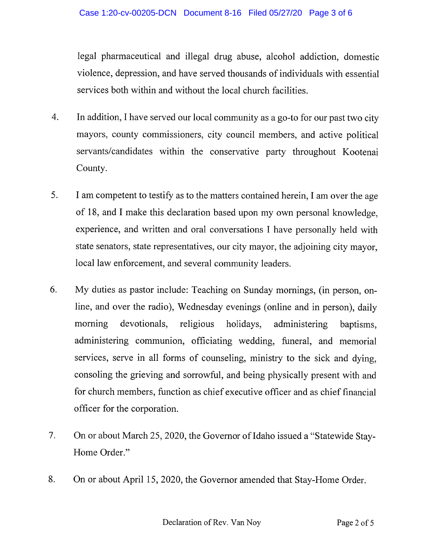legal pharmaceutical and illegal drug abuse, alcohol addiction, domestic violence, depression, and have served thousands of individuals with essential services both within and without the local church facilities.

- $\overline{4}$ . In addition, I have served our local community as a go-to for our past two city mayors, county commissioners, city council members, and active political servants/candidates within the conservative party throughout Kootenai County.
- 5. I am competent to testify as to the matters contained herein, I am over the age of 18, and I make this declaration based upon my own personal knowledge, experience, and written and oral conversations I have personally held with state senators, state representatives, our city mayor, the adjoining city mayor, local law enforcement, and several community leaders.
- 6. My duties as pastor include: Teaching on Sunday mornings, (in person, online, and over the radio), Wednesday evenings (online and in person), daily religious devotionals, morning holidays, administering baptisms, administering communion, officiating wedding, funeral, and memorial services, serve in all forms of counseling, ministry to the sick and dying, consoling the grieving and sorrowful, and being physically present with and for church members, function as chief executive officer and as chief financial officer for the corporation.
- $7<sub>1</sub>$ On or about March 25, 2020, the Governor of Idaho issued a "Statewide Stay-Home Order."
- 8. On or about April 15, 2020, the Governor amended that Stay-Home Order.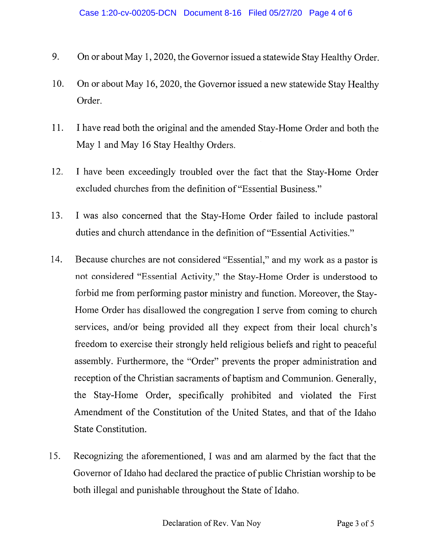- 9. On or about May 1, 2020, the Governor issued a statewide Stay Healthy Order.
- On or about May 16, 2020, the Governor issued a new statewide Stay Healthy 10. Order.
- 11. I have read both the original and the amended Stay-Home Order and both the May 1 and May 16 Stay Healthy Orders.
- 12. I have been exceedingly troubled over the fact that the Stay-Home Order excluded churches from the definition of "Essential Business."
- 13. I was also concerned that the Stay-Home Order failed to include pastoral duties and church attendance in the definition of "Essential Activities."
- 14. Because churches are not considered "Essential," and my work as a pastor is not considered "Essential Activity," the Stay-Home Order is understood to forbid me from performing pastor ministry and function. Moreover, the Stay-Home Order has disallowed the congregation I serve from coming to church services, and/or being provided all they expect from their local church's freedom to exercise their strongly held religious beliefs and right to peaceful assembly. Furthermore, the "Order" prevents the proper administration and reception of the Christian sacraments of baptism and Communion. Generally, the Stay-Home Order, specifically prohibited and violated the First Amendment of the Constitution of the United States, and that of the Idaho State Constitution.
- Recognizing the aforementioned, I was and am alarmed by the fact that the 15. Governor of Idaho had declared the practice of public Christian worship to be both illegal and punishable throughout the State of Idaho.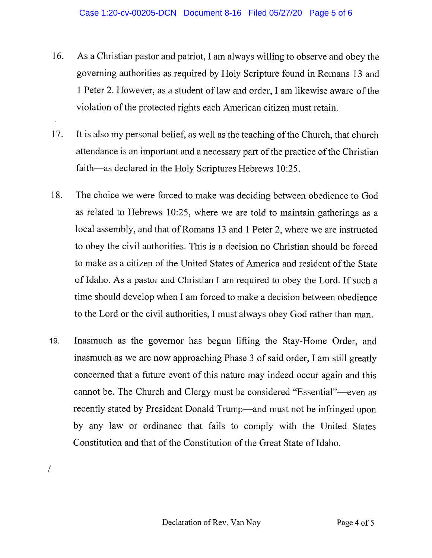- 16. As a Christian pastor and patriot, I am always willing to observe and obey the governing authorities as required by Holy Scripture found in Romans 13 and 1 Peter 2. However, as a student of law and order, I am likewise aware of the violation of the protected rights each American citizen must retain.
- It is also my personal belief, as well as the teaching of the Church, that church 17. attendance is an important and a necessary part of the practice of the Christian faith—as declared in the Holy Scriptures Hebrews 10:25.
- The choice we were forced to make was deciding between obedience to God 18. as related to Hebrews 10:25, where we are told to maintain gatherings as a local assembly, and that of Romans 13 and 1 Peter 2, where we are instructed to obey the civil authorities. This is a decision no Christian should be forced to make as a citizen of the United States of America and resident of the State of Idaho. As a pastor and Christian I am required to obey the Lord. If such a time should develop when I am forced to make a decision between obedience to the Lord or the civil authorities, I must always obey God rather than man.
- Inasmuch as the governor has begun lifting the Stay-Home Order, and 19. inasmuch as we are now approaching Phase 3 of said order, I am still greatly concerned that a future event of this nature may indeed occur again and this cannot be. The Church and Clergy must be considered "Essential"—even as recently stated by President Donald Trump—and must not be infringed upon by any law or ordinance that fails to comply with the United States Constitution and that of the Constitution of the Great State of Idaho.

 $\overline{1}$